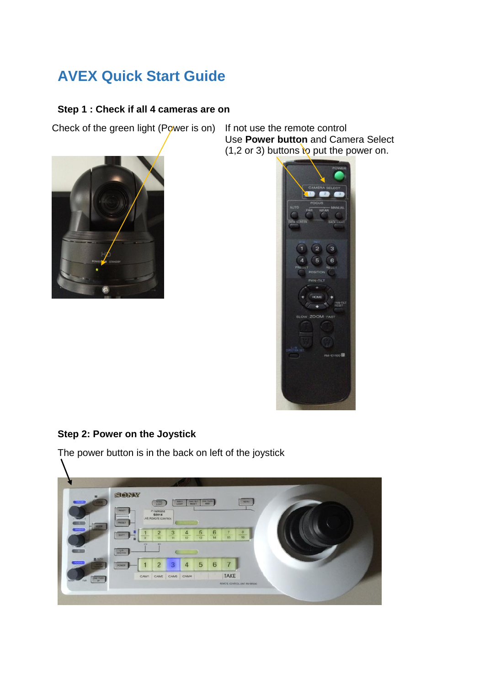# **AVEX Quick Start Guide**

# **Step 1 : Check if all 4 cameras are on**

Check of the green light (Power is on) If not use the remote control



Use **Power button** and Camera Select  $(1, 2 \text{ or } 3)$  buttons to put the power on.



# **Step 2: Power on the Joystick**

The power button is in the back on left of the joystick